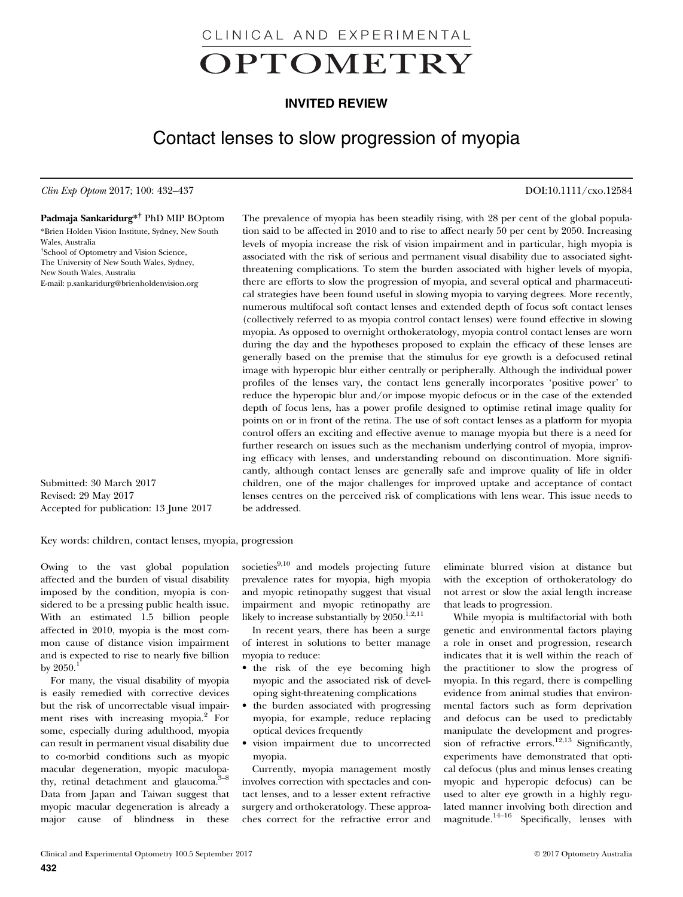CLINICAL AND EXPERIMENTAL

# OPTOMETRY

# INVITED REVIEW

# Contact lenses to slow progression of myopia

Clin Exp Optom 2017; 100: 432–437 DOI:10.1111/cxo.12584

### Padmaja Sankaridurg\*† PhD MIP BOptom

\*Brien Holden Vision Institute, Sydney, New South Wales, Australia † School of Optometry and Vision Science, The University of New South Wales, Sydney, New South Wales, Australia [E-mail: p.sankaridurg@brienholdenvision.org](mailto:Brien Holden Vision InstituteSydneyNew South WalesAustraliaSchool of Optometry and Vision ScienceThe University of New South WalesSydneyNew South WalesAustralia)

Submitted: 30 March 2017 Revised: 29 May 2017 Accepted for publication: 13 June 2017

The prevalence of myopia has been steadily rising, with 28 per cent of the global population said to be affected in 2010 and to rise to affect nearly 50 per cent by 2050. Increasing levels of myopia increase the risk of vision impairment and in particular, high myopia is associated with the risk of serious and permanent visual disability due to associated sightthreatening complications. To stem the burden associated with higher levels of myopia, there are efforts to slow the progression of myopia, and several optical and pharmaceutical strategies have been found useful in slowing myopia to varying degrees. More recently, numerous multifocal soft contact lenses and extended depth of focus soft contact lenses (collectively referred to as myopia control contact lenses) were found effective in slowing myopia. As opposed to overnight orthokeratology, myopia control contact lenses are worn during the day and the hypotheses proposed to explain the efficacy of these lenses are generally based on the premise that the stimulus for eye growth is a defocused retinal image with hyperopic blur either centrally or peripherally. Although the individual power profiles of the lenses vary, the contact lens generally incorporates 'positive power' to reduce the hyperopic blur and/or impose myopic defocus or in the case of the extended depth of focus lens, has a power profile designed to optimise retinal image quality for points on or in front of the retina. The use of soft contact lenses as a platform for myopia control offers an exciting and effective avenue to manage myopia but there is a need for further research on issues such as the mechanism underlying control of myopia, improving efficacy with lenses, and understanding rebound on discontinuation. More significantly, although contact lenses are generally safe and improve quality of life in older children, one of the major challenges for improved uptake and acceptance of contact lenses centres on the perceived risk of complications with lens wear. This issue needs to be addressed.

Key words: children, contact lenses, myopia, progression

Owing to the vast global population affected and the burden of visual disability imposed by the condition, myopia is considered to be a pressing public health issue. With an estimated 1.5 billion people affected in 2010, myopia is the most common cause of distance vision impairment and is expected to rise to nearly five billion by  $2050.<sup>1</sup>$ 

For many, the visual disability of myopia is easily remedied with corrective devices but the risk of uncorrectable visual impairment rises with increasing myopia.<sup>2</sup> For some, especially during adulthood, myopia can result in permanent visual disability due to co-morbid conditions such as myopic macular degeneration, myopic maculopathy, retinal detachment and glaucoma.<sup>3-8</sup> Data from Japan and Taiwan suggest that myopic macular degeneration is already a major cause of blindness in these

societies $9,10$  and models projecting future prevalence rates for myopia, high myopia and myopic retinopathy suggest that visual impairment and myopic retinopathy are likely to increase substantially by  $2050$ .<sup>1,2,11</sup>

In recent years, there has been a surge of interest in solutions to better manage myopia to reduce:

- the risk of the eye becoming high myopic and the associated risk of developing sight-threatening complications
- the burden associated with progressing myopia, for example, reduce replacing optical devices frequently
- vision impairment due to uncorrected myopia.

Currently, myopia management mostly involves correction with spectacles and contact lenses, and to a lesser extent refractive surgery and orthokeratology. These approaches correct for the refractive error and

eliminate blurred vision at distance but with the exception of orthokeratology do not arrest or slow the axial length increase that leads to progression.

While myopia is multifactorial with both genetic and environmental factors playing a role in onset and progression, research indicates that it is well within the reach of the practitioner to slow the progress of myopia. In this regard, there is compelling evidence from animal studies that environmental factors such as form deprivation and defocus can be used to predictably manipulate the development and progression of refractive errors.<sup>12,13</sup> Significantly, experiments have demonstrated that optical defocus (plus and minus lenses creating myopic and hyperopic defocus) can be used to alter eye growth in a highly regulated manner involving both direction and magnitude.<sup>14–16</sup> Specifically, lenses with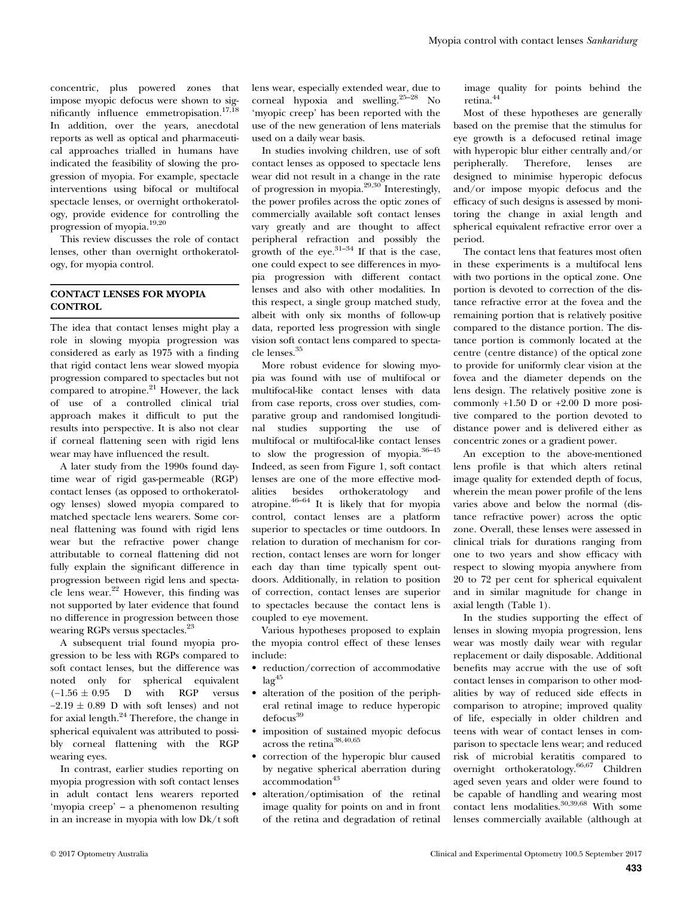concentric, plus powered zones that impose myopic defocus were shown to significantly influence emmetropisation.<sup>17,18</sup> In addition, over the years, anecdotal reports as well as optical and pharmaceutical approaches trialled in humans have indicated the feasibility of slowing the progression of myopia. For example, spectacle interventions using bifocal or multifocal spectacle lenses, or overnight orthokeratology, provide evidence for controlling the progression of myopia.19,20

This review discusses the role of contact lenses, other than overnight orthokeratology, for myopia control.

# CONTACT LENSES FOR MYOPIA CONTROL

The idea that contact lenses might play a role in slowing myopia progression was considered as early as 1975 with a finding that rigid contact lens wear slowed myopia progression compared to spectacles but not compared to atropine.<sup>21</sup> However, the lack of use of a controlled clinical trial approach makes it difficult to put the results into perspective. It is also not clear if corneal flattening seen with rigid lens wear may have influenced the result.

A later study from the 1990s found daytime wear of rigid gas-permeable (RGP) contact lenses (as opposed to orthokeratology lenses) slowed myopia compared to matched spectacle lens wearers. Some corneal flattening was found with rigid lens wear but the refractive power change attributable to corneal flattening did not fully explain the significant difference in progression between rigid lens and spectacle lens wear.<sup>22</sup> However, this finding was not supported by later evidence that found no difference in progression between those wearing RGPs versus spectacles.<sup>23</sup>

A subsequent trial found myopia progression to be less with RGPs compared to soft contact lenses, but the difference was noted only for spherical equivalent  $(-1.56 \pm 0.95)$  D with RGP versus  $-2.19 \pm 0.89$  D with soft lenses) and not for axial length.24 Therefore, the change in spherical equivalent was attributed to possibly corneal flattening with the RGP wearing eyes.

In contrast, earlier studies reporting on myopia progression with soft contact lenses in adult contact lens wearers reported 'myopia creep' – a phenomenon resulting in an increase in myopia with low Dk/t soft

lens wear, especially extended wear, due to corneal hypoxia and swelling.25–<sup>28</sup> No 'myopic creep' has been reported with the use of the new generation of lens materials used on a daily wear basis.

In studies involving children, use of soft contact lenses as opposed to spectacle lens wear did not result in a change in the rate of progression in myopia. $^{29,30}$  Interestingly, the power profiles across the optic zones of commercially available soft contact lenses vary greatly and are thought to affect peripheral refraction and possibly the growth of the eye. $31-34$  If that is the case, one could expect to see differences in myopia progression with different contact lenses and also with other modalities. In this respect, a single group matched study, albeit with only six months of follow-up data, reported less progression with single vision soft contact lens compared to spectacle lenses.<sup>35</sup>

More robust evidence for slowing myopia was found with use of multifocal or multifocal-like contact lenses with data from case reports, cross over studies, comparative group and randomised longitudinal studies supporting the use of multifocal or multifocal-like contact lenses to slow the progression of myopia.<sup>36-45</sup> Indeed, as seen from Figure 1, soft contact lenses are one of the more effective modalities besides orthokeratology and atropine. $46-64$  It is likely that for myopia control, contact lenses are a platform superior to spectacles or time outdoors. In relation to duration of mechanism for correction, contact lenses are worn for longer each day than time typically spent outdoors. Additionally, in relation to position of correction, contact lenses are superior to spectacles because the contact lens is coupled to eye movement.

Various hypotheses proposed to explain the myopia control effect of these lenses include:

- reduction/correction of accommodative  $lag<sup>45</sup>$
- alteration of the position of the peripheral retinal image to reduce hyperopic defocus<sup>39</sup>
- imposition of sustained myopic defocus across the retina<sup>38,40,65</sup>
- correction of the hyperopic blur caused by negative spherical aberration during accommodation<sup>43</sup>
- alteration/optimisation of the retinal image quality for points on and in front of the retina and degradation of retinal

image quality for points behind the retina.<sup>44</sup>

Most of these hypotheses are generally based on the premise that the stimulus for eye growth is a defocused retinal image with hyperopic blur either centrally and/or peripherally. Therefore, lenses are designed to minimise hyperopic defocus and/or impose myopic defocus and the efficacy of such designs is assessed by monitoring the change in axial length and spherical equivalent refractive error over a period.

The contact lens that features most often in these experiments is a multifocal lens with two portions in the optical zone. One portion is devoted to correction of the distance refractive error at the fovea and the remaining portion that is relatively positive compared to the distance portion. The distance portion is commonly located at the centre (centre distance) of the optical zone to provide for uniformly clear vision at the fovea and the diameter depends on the lens design. The relatively positive zone is commonly +1.50 D or +2.00 D more positive compared to the portion devoted to distance power and is delivered either as concentric zones or a gradient power.

An exception to the above-mentioned lens profile is that which alters retinal image quality for extended depth of focus, wherein the mean power profile of the lens varies above and below the normal (distance refractive power) across the optic zone. Overall, these lenses were assessed in clinical trials for durations ranging from one to two years and show efficacy with respect to slowing myopia anywhere from 20 to 72 per cent for spherical equivalent and in similar magnitude for change in axial length (Table 1).

In the studies supporting the effect of lenses in slowing myopia progression, lens wear was mostly daily wear with regular replacement or daily disposable. Additional benefits may accrue with the use of soft contact lenses in comparison to other modalities by way of reduced side effects in comparison to atropine; improved quality of life, especially in older children and teens with wear of contact lenses in comparison to spectacle lens wear; and reduced risk of microbial keratitis compared to overnight orthokeratology.66,67 Children aged seven years and older were found to be capable of handling and wearing most contact lens modalities.<sup>30,39,68</sup> With some lenses commercially available (although at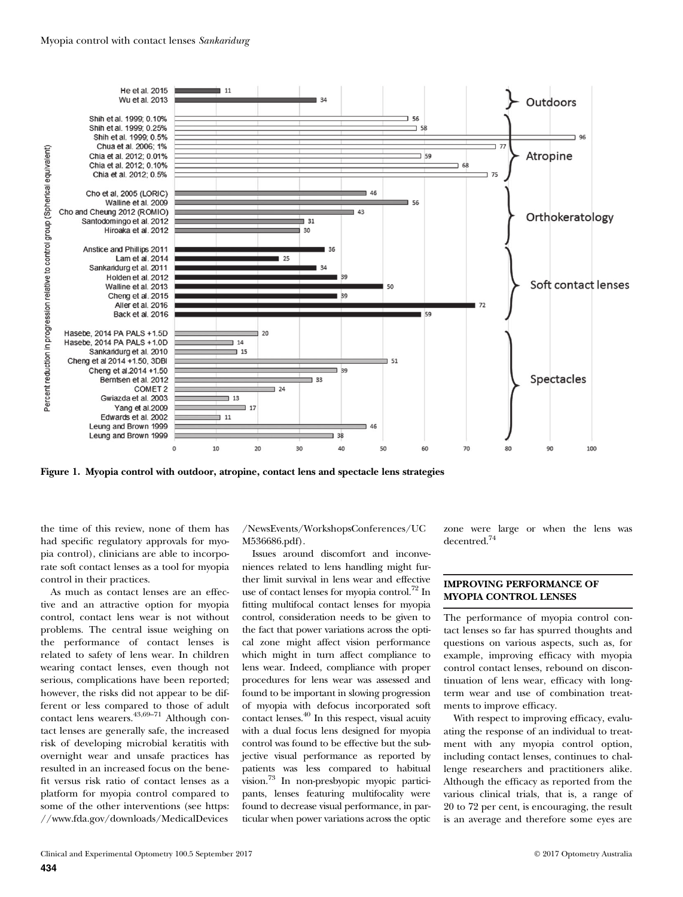

Figure 1. Myopia control with outdoor, atropine, contact lens and spectacle lens strategies

the time of this review, none of them has had specific regulatory approvals for myopia control), clinicians are able to incorporate soft contact lenses as a tool for myopia control in their practices.

As much as contact lenses are an effective and an attractive option for myopia control, contact lens wear is not without problems. The central issue weighing on the performance of contact lenses is related to safety of lens wear. In children wearing contact lenses, even though not serious, complications have been reported; however, the risks did not appear to be different or less compared to those of adult contact lens wearers.<sup>43,69-71</sup> Although contact lenses are generally safe, the increased risk of developing microbial keratitis with overnight wear and unsafe practices has resulted in an increased focus on the benefit versus risk ratio of contact lenses as a platform for myopia control compared to some of the other interventions (see https: //www.fda.gov/downloads/MedicalDevices

/NewsEvents/WorkshopsConferences/UC M536686.pdf).

Issues around discomfort and inconveniences related to lens handling might further limit survival in lens wear and effective use of contact lenses for myopia control.72 In fitting multifocal contact lenses for myopia control, consideration needs to be given to the fact that power variations across the optical zone might affect vision performance which might in turn affect compliance to lens wear. Indeed, compliance with proper procedures for lens wear was assessed and found to be important in slowing progression of myopia with defocus incorporated soft contact lenses.40 In this respect, visual acuity with a dual focus lens designed for myopia control was found to be effective but the subjective visual performance as reported by patients was less compared to habitual vision.73 In non-presbyopic myopic participants, lenses featuring multifocality were found to decrease visual performance, in particular when power variations across the optic

zone were large or when the lens was decentred.74

# IMPROVING PERFORMANCE OF MYOPIA CONTROL LENSES

The performance of myopia control contact lenses so far has spurred thoughts and questions on various aspects, such as, for example, improving efficacy with myopia control contact lenses, rebound on discontinuation of lens wear, efficacy with longterm wear and use of combination treatments to improve efficacy.

With respect to improving efficacy, evaluating the response of an individual to treatment with any myopia control option, including contact lenses, continues to challenge researchers and practitioners alike. Although the efficacy as reported from the various clinical trials, that is, a range of 20 to 72 per cent, is encouraging, the result is an average and therefore some eyes are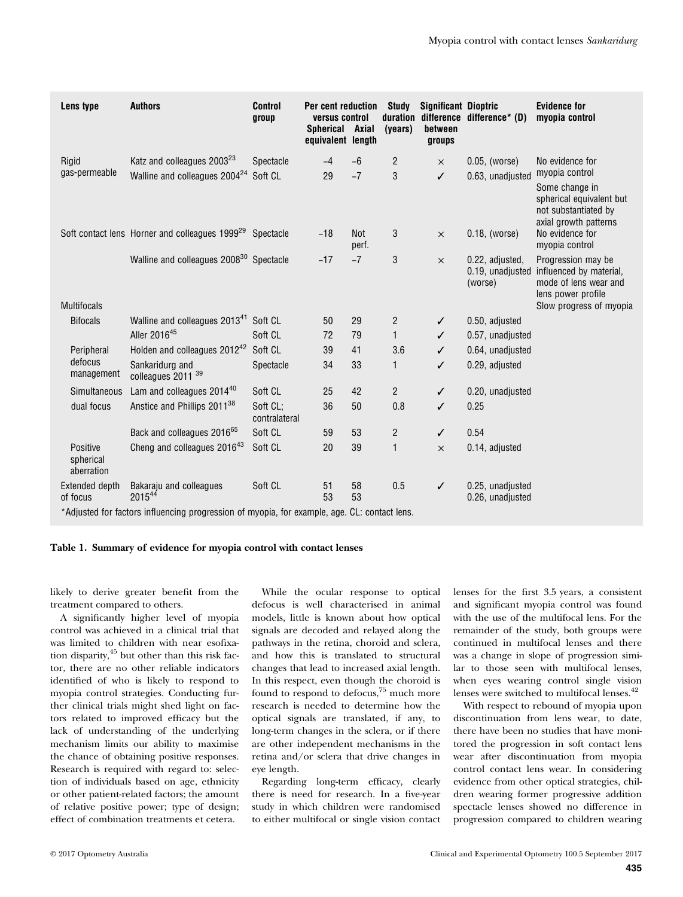| Lens type                                                                                    | <b>Authors</b>                                                       | <b>Control</b><br>group   | Per cent reduction<br>versus control<br>Spherical Axial<br>equivalent length |              | <b>Study</b><br>duration<br>(years) | <b>Significant Dioptric</b><br>between<br>groups | difference difference* (D)                     | <b>Evidence for</b><br>myopia control                                                                         |
|----------------------------------------------------------------------------------------------|----------------------------------------------------------------------|---------------------------|------------------------------------------------------------------------------|--------------|-------------------------------------|--------------------------------------------------|------------------------------------------------|---------------------------------------------------------------------------------------------------------------|
| Rigid                                                                                        | Katz and colleagues 2003 <sup>23</sup>                               | Spectacle                 | $-4$                                                                         | $-6$         | $\overline{c}$                      | $\times$                                         | $0.05$ , (worse)                               | No evidence for                                                                                               |
| gas-permeable                                                                                | Walline and colleagues 2004 <sup>24</sup>                            | Soft CL                   | 29                                                                           | $-7$         | 3                                   | $\checkmark$                                     | 0.63, unadjusted                               | myopia control<br>Some change in<br>spherical equivalent but<br>not substantiated by<br>axial growth patterns |
|                                                                                              | Soft contact lens Horner and colleagues 1999 <sup>29</sup> Spectacle |                           | $-18$                                                                        | Not<br>perf. | 3                                   | $\times$                                         | $0.18$ , (worse)                               | No evidence for<br>myopia control                                                                             |
|                                                                                              | Walline and colleagues 2008 <sup>30</sup> Spectacle                  |                           | $-17$                                                                        | $-7$         | 3                                   | $\times$                                         | 0.22, adjusted,<br>0.19, unadjusted<br>(worse) | Progression may be<br>influenced by material,<br>mode of lens wear and<br>lens power profile                  |
| <b>Multifocals</b>                                                                           |                                                                      |                           |                                                                              |              |                                     |                                                  |                                                | Slow progress of myopia                                                                                       |
| <b>Bifocals</b>                                                                              | Walline and colleagues 2013 <sup>41</sup> Soft CL                    |                           | 50                                                                           | 29           | $\overline{2}$                      | $\checkmark$                                     | 0.50, adjusted                                 |                                                                                                               |
|                                                                                              | Aller 201645                                                         | Soft CL                   | 72                                                                           | 79           | 1                                   | ✓                                                | 0.57, unadjusted                               |                                                                                                               |
| Peripheral                                                                                   | Holden and colleagues 2012 <sup>42</sup> Soft CL                     |                           | 39                                                                           | 41           | 3.6                                 | ✓                                                | 0.64, unadjusted                               |                                                                                                               |
| defocus<br>management                                                                        | Sankaridurg and<br>colleagues 2011 <sup>39</sup>                     | Spectacle                 | 34                                                                           | 33           | $\mathbf{1}$                        | ✓                                                | 0.29, adjusted                                 |                                                                                                               |
| Simultaneous                                                                                 | Lam and colleagues 2014 <sup>40</sup>                                | Soft CL                   | 25                                                                           | 42           | $\overline{2}$                      | $\checkmark$                                     | 0.20, unadjusted                               |                                                                                                               |
| dual focus                                                                                   | Anstice and Phillips 2011 <sup>38</sup>                              | Soft CL:<br>contralateral | 36                                                                           | 50           | 0.8                                 | ✓                                                | 0.25                                           |                                                                                                               |
|                                                                                              | Back and colleagues 2016 <sup>65</sup>                               | Soft CL                   | 59                                                                           | 53           | $\overline{c}$                      | $\checkmark$                                     | 0.54                                           |                                                                                                               |
| Positive<br>spherical<br>aberration                                                          | Cheng and colleagues 201643                                          | Soft CL                   | 20                                                                           | 39           | $\mathbf{1}$                        | $\times$                                         | 0.14, adjusted                                 |                                                                                                               |
| Extended depth<br>of focus                                                                   | Bakaraju and colleagues<br>201544                                    | Soft CL                   | 51<br>53                                                                     | 58<br>53     | 0.5                                 | $\checkmark$                                     | 0.25, unadjusted<br>0.26, unadjusted           |                                                                                                               |
| *Adjusted for factors influencing progression of myopia, for example, age. CL: contact lens. |                                                                      |                           |                                                                              |              |                                     |                                                  |                                                |                                                                                                               |

## Table 1. Summary of evidence for myopia control with contact lenses

likely to derive greater benefit from the treatment compared to others.

A significantly higher level of myopia control was achieved in a clinical trial that was limited to children with near esofixation disparity,<sup>45</sup> but other than this risk factor, there are no other reliable indicators identified of who is likely to respond to myopia control strategies. Conducting further clinical trials might shed light on factors related to improved efficacy but the lack of understanding of the underlying mechanism limits our ability to maximise the chance of obtaining positive responses. Research is required with regard to: selection of individuals based on age, ethnicity or other patient-related factors; the amount of relative positive power; type of design; effect of combination treatments et cetera.

While the ocular response to optical defocus is well characterised in animal models, little is known about how optical signals are decoded and relayed along the pathways in the retina, choroid and sclera, and how this is translated to structural changes that lead to increased axial length. In this respect, even though the choroid is found to respond to defocus,<sup>75</sup> much more research is needed to determine how the optical signals are translated, if any, to long-term changes in the sclera, or if there are other independent mechanisms in the retina and/or sclera that drive changes in eye length.

Regarding long-term efficacy, clearly there is need for research. In a five-year study in which children were randomised to either multifocal or single vision contact lenses for the first 3.5 years, a consistent and significant myopia control was found with the use of the multifocal lens. For the remainder of the study, both groups were continued in multifocal lenses and there was a change in slope of progression similar to those seen with multifocal lenses, when eyes wearing control single vision lenses were switched to multifocal lenses.<sup>42</sup>

With respect to rebound of myopia upon discontinuation from lens wear, to date, there have been no studies that have monitored the progression in soft contact lens wear after discontinuation from myopia control contact lens wear. In considering evidence from other optical strategies, children wearing former progressive addition spectacle lenses showed no difference in progression compared to children wearing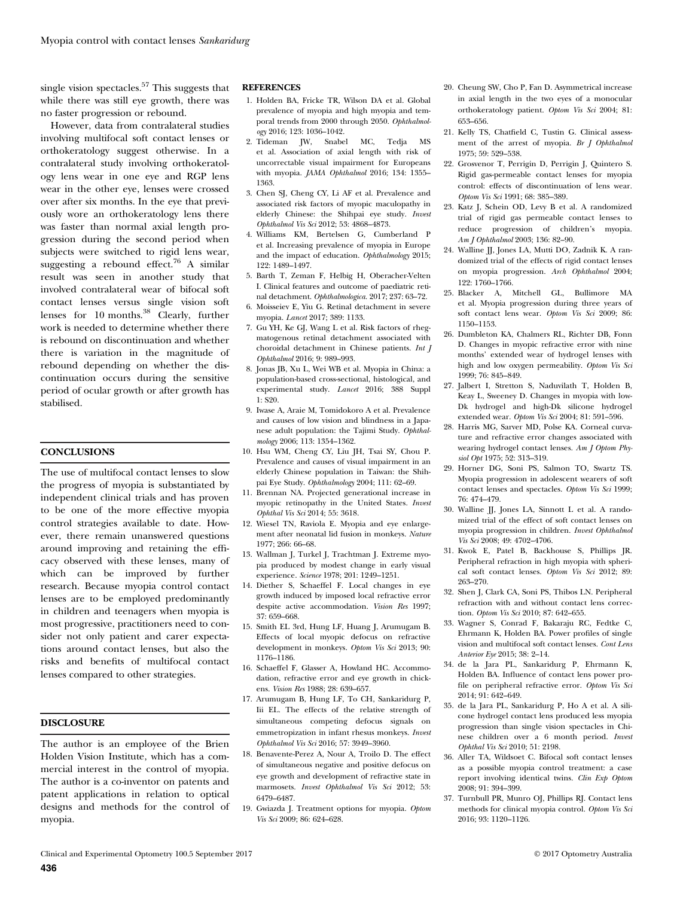single vision spectacles.<sup>57</sup> This suggests that while there was still eye growth, there was no faster progression or rebound.

However, data from contralateral studies involving multifocal soft contact lenses or orthokeratology suggest otherwise. In a contralateral study involving orthokeratology lens wear in one eye and RGP lens wear in the other eye, lenses were crossed over after six months. In the eye that previously wore an orthokeratology lens there was faster than normal axial length progression during the second period when subjects were switched to rigid lens wear, suggesting a rebound effect.<sup>76</sup> A similar result was seen in another study that involved contralateral wear of bifocal soft contact lenses versus single vision soft lenses for 10 months. $38\degree$  Clearly, further work is needed to determine whether there is rebound on discontinuation and whether there is variation in the magnitude of rebound depending on whether the discontinuation occurs during the sensitive period of ocular growth or after growth has stabilised.

### **CONCLUSIONS**

The use of multifocal contact lenses to slow the progress of myopia is substantiated by independent clinical trials and has proven to be one of the more effective myopia control strategies available to date. However, there remain unanswered questions around improving and retaining the efficacy observed with these lenses, many of which can be improved by further research. Because myopia control contact lenses are to be employed predominantly in children and teenagers when myopia is most progressive, practitioners need to consider not only patient and carer expectations around contact lenses, but also the risks and benefits of multifocal contact lenses compared to other strategies.

#### DISCLOSURE

The author is an employee of the Brien Holden Vision Institute, which has a commercial interest in the control of myopia. The author is a co-inventor on patents and patent applications in relation to optical designs and methods for the control of myopia.

#### **REFERENCES**

- 1. Holden BA, Fricke TR, Wilson DA et al. Global prevalence of myopia and high myopia and temporal trends from 2000 through 2050. Ophthalmology 2016; 123: 1036–1042.
- 2. Tideman JW, Snabel MC, Tedja MS et al. Association of axial length with risk of uncorrectable visual impairment for Europeans with myopia. JAMA Ophthalmol 2016; 134: 1355-1363.
- 3. Chen SJ, Cheng CY, Li AF et al. Prevalence and associated risk factors of myopic maculopathy in elderly Chinese: the Shihpai eye study. Invest Ophthalmol Vis Sci 2012; 53: 4868–4873.
- 4. Williams KM, Bertelsen G, Cumberland P et al. Increasing prevalence of myopia in Europe and the impact of education. Ophthalmology 2015; 122: 1489–1497.
- 5. Barth T, Zeman F, Helbig H, Oberacher-Velten I. Clinical features and outcome of paediatric retinal detachment. Ophthalmologica. 2017; 237: 63–72.
- 6. Moisseiev E, Yiu G. Retinal detachment in severe myopia. Lancet 2017; 389: 1133.
- 7. Gu YH, Ke GJ, Wang L et al. Risk factors of rhegmatogenous retinal detachment associated with choroidal detachment in Chinese patients. Int J Ophthalmol 2016; 9: 989–993.
- 8. Jonas JB, Xu L, Wei WB et al. Myopia in China: a population-based cross-sectional, histological, and experimental study. Lancet 2016; 388 Suppl 1: S20.
- 9. Iwase A, Araie M, Tomidokoro A et al. Prevalence and causes of low vision and blindness in a Japanese adult population: the Tajimi Study. Ophthalmology 2006; 113: 1354–1362.
- 10. Hsu WM, Cheng CY, Liu JH, Tsai SY, Chou P. Prevalence and causes of visual impairment in an elderly Chinese population in Taiwan: the Shihpai Eye Study. Ophthalmology 2004; 111: 62–69.
- 11. Brennan NA. Projected generational increase in myopic retinopathy in the United States. Invest Ophthal Vis Sci 2014; 55: 3618.
- 12. Wiesel TN, Raviola E. Myopia and eye enlargement after neonatal lid fusion in monkeys. Nature 1977; 266: 66–68.
- 13. Wallman J, Turkel J, Trachtman J. Extreme myopia produced by modest change in early visual experience. Science 1978; 201: 1249–1251.
- 14. Diether S, Schaeffel F. Local changes in eye growth induced by imposed local refractive error despite active accommodation. Vision Res 1997; 37: 659–668.
- 15. Smith EL 3rd, Hung LF, Huang J, Arumugam B. Effects of local myopic defocus on refractive development in monkeys. Optom Vis Sci 2013; 90: 1176–1186.
- 16. Schaeffel F, Glasser A, Howland HC. Accommodation, refractive error and eye growth in chickens. Vision Res 1988; 28: 639–657.
- 17. Arumugam B, Hung LF, To CH, Sankaridurg P, Iii EL. The effects of the relative strength of simultaneous competing defocus signals on emmetropization in infant rhesus monkeys. Invest Ophthalmol Vis Sci 2016; 57: 3949–3960.
- 18. Benavente-Perez A, Nour A, Troilo D. The effect of simultaneous negative and positive defocus on eye growth and development of refractive state in marmosets. Invest Ophthalmol Vis Sci 2012; 53: 6479–6487.
- 19. Gwiazda J. Treatment options for myopia. Optom Vis Sci 2009; 86: 624–628.
- 20. Cheung SW, Cho P, Fan D. Asymmetrical increase in axial length in the two eyes of a monocular orthokeratology patient. Optom Vis Sci 2004; 81: 653–656.
- 21. Kelly TS, Chatfield C, Tustin G. Clinical assessment of the arrest of myopia. Br J Ophthalmol 1975; 59: 529–538.
- 22. Grosvenor T, Perrigin D, Perrigin J, Quintero S. Rigid gas-permeable contact lenses for myopia control: effects of discontinuation of lens wear. Optom Vis Sci 1991; 68: 385–389.
- 23. Katz J, Schein OD, Levy B et al. A randomized trial of rigid gas permeable contact lenses to reduce progression of children's myopia. Am J Ophthalmol 2003; 136: 82–90.
- 24. Walline JJ, Jones LA, Mutti DO, Zadnik K. A randomized trial of the effects of rigid contact lenses on myopia progression. Arch Ophthalmol 2004; 122: 1760–1766.
- 25. Blacker A, Mitchell GL, Bullimore MA et al. Myopia progression during three years of soft contact lens wear. Optom Vis Sci 2009; 86: 1150–1153.
- 26. Dumbleton KA, Chalmers RL, Richter DB, Fonn D. Changes in myopic refractive error with nine months' extended wear of hydrogel lenses with high and low oxygen permeability. Optom Vis Sci 1999; 76: 845–849.
- 27. Jalbert I, Stretton S, Naduvilath T, Holden B, Keay L, Sweeney D. Changes in myopia with low-Dk hydrogel and high-Dk silicone hydrogel extended wear. Optom Vis Sci 2004; 81: 591–596.
- 28. Harris MG, Sarver MD, Polse KA. Corneal curvature and refractive error changes associated with wearing hydrogel contact lenses. Am J Optom Physiol Opt 1975; 52: 313–319.
- 29. Horner DG, Soni PS, Salmon TO, Swartz TS. Myopia progression in adolescent wearers of soft contact lenses and spectacles. Optom Vis Sci 1999; 76: 474–479.
- 30. Walline JJ, Jones LA, Sinnott L et al. A randomized trial of the effect of soft contact lenses on myopia progression in children. Invest Ophthalmol Vis Sci 2008; 49: 4702–4706.
- 31. Kwok E, Patel B, Backhouse S, Phillips JR. Peripheral refraction in high myopia with spherical soft contact lenses. Optom Vis Sci 2012; 89: 263–270.
- 32. Shen J, Clark CA, Soni PS, Thibos LN. Peripheral refraction with and without contact lens correction. Optom Vis Sci 2010; 87: 642–655.
- 33. Wagner S, Conrad F, Bakaraju RC, Fedtke C, Ehrmann K, Holden BA. Power profiles of single vision and multifocal soft contact lenses. Cont Lens Anterior Eye 2015; 38: 2–14.
- 34. de la Jara PL, Sankaridurg P, Ehrmann K, Holden BA. Influence of contact lens power profile on peripheral refractive error. Optom Vis Sci 2014; 91: 642–649.
- 35. de la Jara PL, Sankaridurg P, Ho A et al. A silicone hydrogel contact lens produced less myopia progression than single vision spectacles in Chinese children over a 6 month period. Invest Ophthal Vis Sci 2010; 51: 2198.
- 36. Aller TA, Wildsoet C. Bifocal soft contact lenses as a possible myopia control treatment: a case report involving identical twins. Clin Exp Optom 2008; 91: 394–399.
- 37. Turnbull PR, Munro OJ, Phillips RJ. Contact lens methods for clinical myopia control. Optom Vis Sci 2016; 93: 1120–1126.